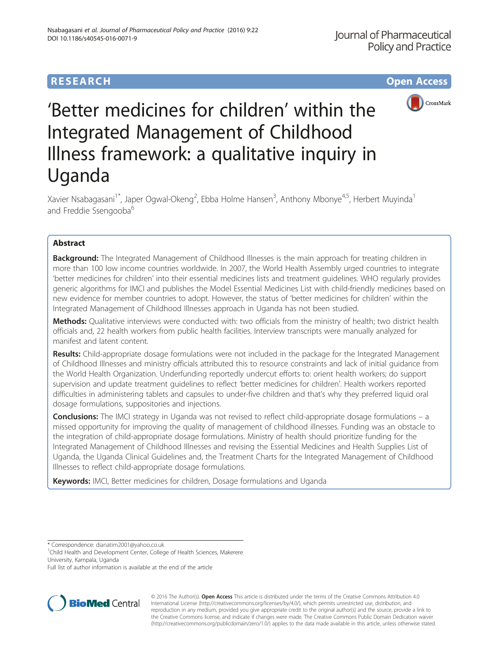# **RESEARCH CHE Open Access**



# 'Better medicines for children' within the Integrated Management of Childhood Illness framework: a qualitative inquiry in Uganda

Xavier Nsabagasani<sup>1\*</sup>, Japer Ogwal-Okeng<sup>2</sup>, Ebba Holme Hansen<sup>3</sup>, Anthony Mbonye<sup>4,5</sup>, Herbert Muyinda<sup>1</sup> and Freddie Ssengooba<sup>6</sup>

# Abstract

Background: The Integrated Management of Childhood Illnesses is the main approach for treating children in more than 100 low income countries worldwide. In 2007, the World Health Assembly urged countries to integrate 'better medicines for children' into their essential medicines lists and treatment guidelines. WHO regularly provides generic algorithms for IMCI and publishes the Model Essential Medicines List with child-friendly medicines based on new evidence for member countries to adopt. However, the status of 'better medicines for children' within the Integrated Management of Childhood Illnesses approach in Uganda has not been studied.

Methods: Qualitative interviews were conducted with: two officials from the ministry of health; two district health officials and, 22 health workers from public health facilities. Interview transcripts were manually analyzed for manifest and latent content.

Results: Child-appropriate dosage formulations were not included in the package for the Integrated Management of Childhood Illnesses and ministry officials attributed this to resource constraints and lack of initial guidance from the World Health Organization. Underfunding reportedly undercut efforts to: orient health workers; do support supervision and update treatment guidelines to reflect 'better medicines for children'. Health workers reported difficulties in administering tablets and capsules to under-five children and that's why they preferred liquid oral dosage formulations, suppositories and injections.

**Conclusions:** The IMCI strategy in Uganda was not revised to reflect child-appropriate dosage formulations – a missed opportunity for improving the quality of management of childhood illnesses. Funding was an obstacle to the integration of child-appropriate dosage formulations. Ministry of health should prioritize funding for the Integrated Management of Childhood Illnesses and revising the Essential Medicines and Health Supplies List of Uganda, the Uganda Clinical Guidelines and, the Treatment Charts for the Integrated Management of Childhood Illnesses to reflect child-appropriate dosage formulations.

Keywords: IMCI, Better medicines for children, Dosage formulations and Uganda

Full list of author information is available at the end of the article



© 2016 The Author(s). Open Access This article is distributed under the terms of the Creative Commons Attribution 4.0 International License [\(http://creativecommons.org/licenses/by/4.0/](http://creativecommons.org/licenses/by/4.0/)), which permits unrestricted use, distribution, and reproduction in any medium, provided you give appropriate credit to the original author(s) and the source, provide a link to the Creative Commons license, and indicate if changes were made. The Creative Commons Public Domain Dedication waiver [\(http://creativecommons.org/publicdomain/zero/1.0/](http://creativecommons.org/publicdomain/zero/1.0/)) applies to the data made available in this article, unless otherwise stated.

<sup>\*</sup> Correspondence: [dianatim2001@yahoo.co.uk](mailto:dianatim2001@yahoo.co.uk) <sup>1</sup>

<sup>&</sup>lt;sup>1</sup>Child Health and Development Center, College of Health Sciences, Makerere University, Kampala, Uganda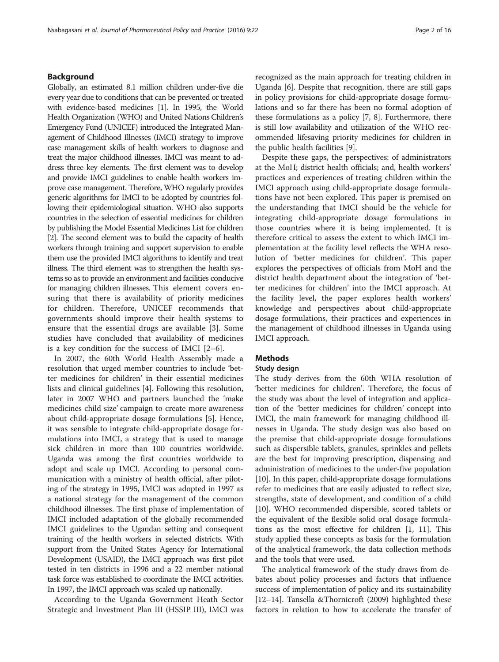# Background

Globally, an estimated 8.1 million children under-five die every year due to conditions that can be prevented or treated with evidence-based medicines [\[1](#page-14-0)]. In 1995, the World Health Organization (WHO) and United Nations Children's Emergency Fund (UNICEF) introduced the Integrated Management of Childhood Illnesses (IMCI) strategy to improve case management skills of health workers to diagnose and treat the major childhood illnesses. IMCI was meant to address three key elements. The first element was to develop and provide IMCI guidelines to enable health workers improve case management. Therefore, WHO regularly provides generic algorithms for IMCI to be adopted by countries following their epidemiological situation. WHO also supports countries in the selection of essential medicines for children by publishing the Model Essential Medicines List for children [[2](#page-14-0)]. The second element was to build the capacity of health workers through training and support supervision to enable them use the provided IMCI algorithms to identify and treat illness. The third element was to strengthen the health systems so as to provide an environment and facilities conducive for managing children illnesses. This element covers ensuring that there is availability of priority medicines for children. Therefore, UNICEF recommends that governments should improve their health systems to ensure that the essential drugs are available [[3\]](#page-14-0). Some studies have concluded that availability of medicines is a key condition for the success of IMCI [\[2](#page-14-0)–[6](#page-14-0)].

In 2007, the 60th World Health Assembly made a resolution that urged member countries to include 'better medicines for children' in their essential medicines lists and clinical guidelines [[4\]](#page-14-0). Following this resolution, later in 2007 WHO and partners launched the 'make medicines child size' campaign to create more awareness about child-appropriate dosage formulations [\[5](#page-14-0)]. Hence, it was sensible to integrate child-appropriate dosage formulations into IMCI, a strategy that is used to manage sick children in more than 100 countries worldwide. Uganda was among the first countries worldwide to adopt and scale up IMCI. According to personal communication with a ministry of health official, after piloting of the strategy in 1995, IMCI was adopted in 1997 as a national strategy for the management of the common childhood illnesses. The first phase of implementation of IMCI included adaptation of the globally recommended IMCI guidelines to the Ugandan setting and consequent training of the health workers in selected districts. With support from the United States Agency for International Development (USAID), the IMCI approach was first pilot tested in ten districts in 1996 and a 22 member national task force was established to coordinate the IMCI activities. In 1997, the IMCI approach was scaled up nationally.

According to the Uganda Government Heath Sector Strategic and Investment Plan III (HSSIP III), IMCI was recognized as the main approach for treating children in Uganda [[6](#page-14-0)]. Despite that recognition, there are still gaps in policy provisions for child-appropriate dosage formulations and so far there has been no formal adoption of these formulations as a policy [[7, 8](#page-14-0)]. Furthermore, there is still low availability and utilization of the WHO recommended lifesaving priority medicines for children in the public health facilities [\[9\]](#page-14-0).

Despite these gaps, the perspectives: of administrators at the MoH; district health officials; and, health workers' practices and experiences of treating children within the IMCI approach using child-appropriate dosage formulations have not been explored. This paper is premised on the understanding that IMCI should be the vehicle for integrating child-appropriate dosage formulations in those countries where it is being implemented. It is therefore critical to assess the extent to which IMCI implementation at the facility level reflects the WHA resolution of 'better medicines for children'. This paper explores the perspectives of officials from MoH and the district health department about the integration of 'better medicines for children' into the IMCI approach. At the facility level, the paper explores health workers' knowledge and perspectives about child-appropriate dosage formulations, their practices and experiences in the management of childhood illnesses in Uganda using IMCI approach.

# **Methods**

#### Study design

The study derives from the 60th WHA resolution of 'better medicines for children'. Therefore, the focus of the study was about the level of integration and application of the 'better medicines for children' concept into IMCI, the main framework for managing childhood illnesses in Uganda. The study design was also based on the premise that child-appropriate dosage formulations such as dispersible tablets, granules, sprinkles and pellets are the best for improving prescription, dispensing and administration of medicines to the under-five population [[10\]](#page-14-0). In this paper, child-appropriate dosage formulations refer to medicines that are easily adjusted to reflect size, strengths, state of development, and condition of a child [[10\]](#page-14-0). WHO recommended dispersible, scored tablets or the equivalent of the flexible solid oral dosage formulations as the most effective for children [\[1](#page-14-0), [11\]](#page-14-0). This study applied these concepts as basis for the formulation of the analytical framework, the data collection methods and the tools that were used.

The analytical framework of the study draws from debates about policy processes and factors that influence success of implementation of policy and its sustainability [[12](#page-14-0)–[14](#page-14-0)]. Tansella &Thornicroft (2009) highlighted these factors in relation to how to accelerate the transfer of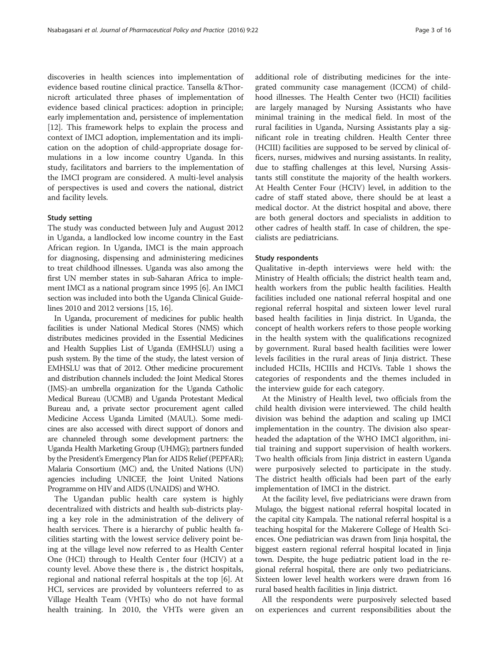discoveries in health sciences into implementation of evidence based routine clinical practice. Tansella &Thornicroft articulated three phases of implementation of evidence based clinical practices: adoption in principle; early implementation and, persistence of implementation [[12\]](#page-14-0). This framework helps to explain the process and context of IMCI adoption, implementation and its implication on the adoption of child-appropriate dosage formulations in a low income country Uganda. In this study, facilitators and barriers to the implementation of the IMCI program are considered. A multi-level analysis of perspectives is used and covers the national, district and facility levels.

## Study setting

The study was conducted between July and August 2012 in Uganda, a landlocked low income country in the East African region. In Uganda, IMCI is the main approach for diagnosing, dispensing and administering medicines to treat childhood illnesses. Uganda was also among the first UN member states in sub-Saharan Africa to implement IMCI as a national program since 1995 [\[6](#page-14-0)]. An IMCI section was included into both the Uganda Clinical Guidelines 2010 and 2012 versions [\[15, 16](#page-14-0)].

In Uganda, procurement of medicines for public health facilities is under National Medical Stores (NMS) which distributes medicines provided in the Essential Medicines and Health Supplies List of Uganda (EMHSLU) using a push system. By the time of the study, the latest version of EMHSLU was that of 2012. Other medicine procurement and distribution channels included: the Joint Medical Stores (JMS)-an umbrella organization for the Uganda Catholic Medical Bureau (UCMB) and Uganda Protestant Medical Bureau and, a private sector procurement agent called Medicine Access Uganda Limited (MAUL). Some medicines are also accessed with direct support of donors and are channeled through some development partners: the Uganda Health Marketing Group (UHMG); partners funded by the President's Emergency Plan for AIDS Relief (PEPFAR); Malaria Consortium (MC) and, the United Nations (UN) agencies including UNICEF, the Joint United Nations Programme on HIV and AIDS (UNAIDS) and WHO.

The Ugandan public health care system is highly decentralized with districts and health sub-districts playing a key role in the administration of the delivery of health services. There is a hierarchy of public health facilities starting with the lowest service delivery point being at the village level now referred to as Health Center One (HCI) through to Health Center four (HCIV) at a county level. Above these there is , the district hospitals, regional and national referral hospitals at the top [[6\]](#page-14-0). At HCI, services are provided by volunteers referred to as Village Health Team (VHTs) who do not have formal health training. In 2010, the VHTs were given an

additional role of distributing medicines for the integrated community case management (ICCM) of childhood illnesses. The Health Center two (HCII) facilities are largely managed by Nursing Assistants who have minimal training in the medical field. In most of the rural facilities in Uganda, Nursing Assistants play a significant role in treating children. Health Center three (HCIII) facilities are supposed to be served by clinical officers, nurses, midwives and nursing assistants. In reality, due to staffing challenges at this level, Nursing Assistants still constitute the majority of the health workers. At Health Center Four (HCIV) level, in addition to the cadre of staff stated above, there should be at least a medical doctor. At the district hospital and above, there are both general doctors and specialists in addition to other cadres of health staff. In case of children, the specialists are pediatricians.

## Study respondents

Qualitative in-depth interviews were held with: the Ministry of Health officials; the district health team and, health workers from the public health facilities. Health facilities included one national referral hospital and one regional referral hospital and sixteen lower level rural based health facilities in Jinja district. In Uganda, the concept of health workers refers to those people working in the health system with the qualifications recognized by government. Rural based health facilities were lower levels facilities in the rural areas of Jinja district. These included HCIIs, HCIIIs and HCIVs. Table [1](#page-3-0) shows the categories of respondents and the themes included in the interview guide for each category.

At the Ministry of Health level, two officials from the child health division were interviewed. The child health division was behind the adaption and scaling up IMCI implementation in the country. The division also spearheaded the adaptation of the WHO IMCI algorithm, initial training and support supervision of health workers. Two health officials from Jinja district in eastern Uganda were purposively selected to participate in the study. The district health officials had been part of the early implementation of IMCI in the district.

At the facility level, five pediatricians were drawn from Mulago, the biggest national referral hospital located in the capital city Kampala. The national referral hospital is a teaching hospital for the Makerere College of Health Sciences. One pediatrician was drawn from Jinja hospital, the biggest eastern regional referral hospital located in Jinja town. Despite, the huge pediatric patient load in the regional referral hospital, there are only two pediatricians. Sixteen lower level health workers were drawn from 16 rural based health facilities in Jinja district.

All the respondents were purposively selected based on experiences and current responsibilities about the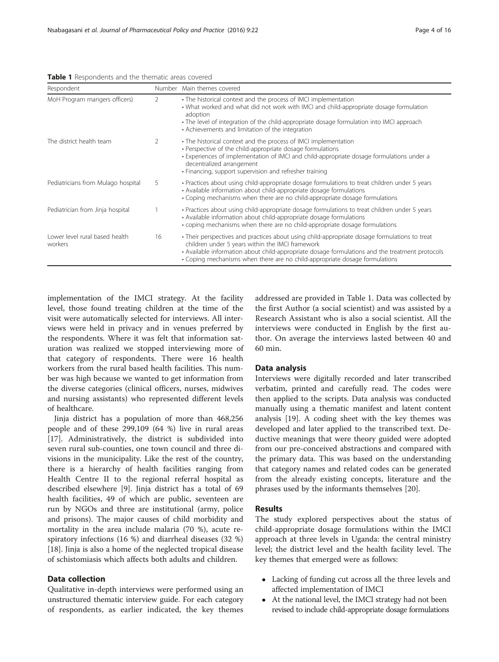<span id="page-3-0"></span>

|  |  | Table 1 Respondents and the thematic areas covered |  |  |  |  |  |  |
|--|--|----------------------------------------------------|--|--|--|--|--|--|
|--|--|----------------------------------------------------|--|--|--|--|--|--|

| Respondent                                |               | Number Main themes covered                                                                                                                                                                                                                                                                                                          |  |
|-------------------------------------------|---------------|-------------------------------------------------------------------------------------------------------------------------------------------------------------------------------------------------------------------------------------------------------------------------------------------------------------------------------------|--|
| MoH Program mangers officers)             | $\mathcal{L}$ | • The historical context and the process of IMCI implementation<br>• What worked and what did not work with IMCI and child-appropriate dosage formulation<br>adoption<br>• The level of integration of the child-appropriate dosage formulation into IMCI approach<br>• Achievements and limitation of the integration              |  |
| The district health team                  | $\mathcal{P}$ | • The historical context and the process of IMCI implementation<br>• Perspective of the child-appropriate dosage formulations<br>• Experiences of implementation of IMCI and child-appropriate dosage formulations under a<br>decentralized arrangement<br>• Financing, support supervision and refresher training                  |  |
| Pediatricians from Mulago hospital        | .5            | • Practices about using child-appropriate dosage formulations to treat children under 5 years<br>• Available information about child-appropriate dosage formulations<br>• Coping mechanisms when there are no child-appropriate dosage formulations                                                                                 |  |
| Pediatrician from Jinja hospital          |               | • Practices about using child-appropriate dosage formulations to treat children under 5 years<br>• Available information about child-appropriate dosage formulations<br>• coping mechanisms when there are no child-appropriate dosage formulations                                                                                 |  |
| Lower level rural based health<br>workers | 16            | • Their perspectives and practices about using child-appropriate dosage formulations to treat<br>children under 5 years within the IMCI framework<br>• Available information about child-appropriate dosage formulations and the treatment protocols<br>• Coping mechanisms when there are no child-appropriate dosage formulations |  |

implementation of the IMCI strategy. At the facility level, those found treating children at the time of the visit were automatically selected for interviews. All interviews were held in privacy and in venues preferred by the respondents. Where it was felt that information saturation was realized we stopped interviewing more of that category of respondents. There were 16 health workers from the rural based health facilities. This number was high because we wanted to get information from the diverse categories (clinical officers, nurses, midwives and nursing assistants) who represented different levels of healthcare.

Jinja district has a population of more than 468,256 people and of these 299,109 (64 %) live in rural areas [[17\]](#page-14-0). Administratively, the district is subdivided into seven rural sub-counties, one town council and three divisions in the municipality. Like the rest of the country, there is a hierarchy of health facilities ranging from Health Centre II to the regional referral hospital as described elsewhere [[9\]](#page-14-0). Jinja district has a total of 69 health facilities, 49 of which are public, seventeen are run by NGOs and three are institutional (army, police and prisons). The major causes of child morbidity and mortality in the area include malaria (70 %), acute respiratory infections (16 %) and diarrheal diseases (32 %) [[18\]](#page-14-0). Jinja is also a home of the neglected tropical disease of schistomiasis which affects both adults and children.

# Data collection

Qualitative in-depth interviews were performed using an unstructured thematic interview guide. For each category of respondents, as earlier indicated, the key themes addressed are provided in Table 1. Data was collected by the first Author (a social scientist) and was assisted by a Research Assistant who is also a social scientist. All the interviews were conducted in English by the first author. On average the interviews lasted between 40 and 60 min.

# Data analysis

Interviews were digitally recorded and later transcribed verbatim, printed and carefully read. The codes were then applied to the scripts. Data analysis was conducted manually using a thematic manifest and latent content analysis [[19](#page-14-0)]. A coding sheet with the key themes was developed and later applied to the transcribed text. Deductive meanings that were theory guided were adopted from our pre-conceived abstractions and compared with the primary data. This was based on the understanding that category names and related codes can be generated from the already existing concepts, literature and the phrases used by the informants themselves [\[20](#page-14-0)].

# **Results**

The study explored perspectives about the status of child-appropriate dosage formulations within the IMCI approach at three levels in Uganda: the central ministry level; the district level and the health facility level. The key themes that emerged were as follows:

- Lacking of funding cut across all the three levels and affected implementation of IMCI
- At the national level, the IMCI strategy had not been revised to include child-appropriate dosage formulations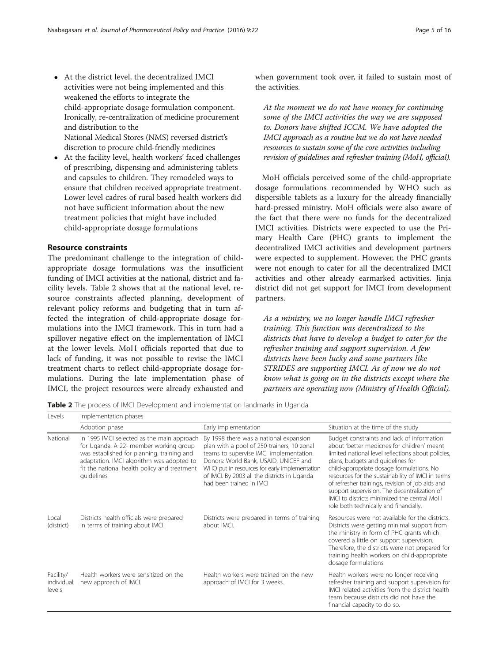- At the district level, the decentralized IMCI activities were not being implemented and this weakened the efforts to integrate the child-appropriate dosage formulation component. Ironically, re-centralization of medicine procurement and distribution to the National Medical Stores (NMS) reversed district's discretion to procure child-friendly medicines
- At the facility level, health workers' faced challenges of prescribing, dispensing and administering tablets and capsules to children. They remodeled ways to ensure that children received appropriate treatment. Lower level cadres of rural based health workers did not have sufficient information about the new treatment policies that might have included child-appropriate dosage formulations

# Resource constraints

The predominant challenge to the integration of childappropriate dosage formulations was the insufficient funding of IMCI activities at the national, district and facility levels. Table 2 shows that at the national level, resource constraints affected planning, development of relevant policy reforms and budgeting that in turn affected the integration of child-appropriate dosage formulations into the IMCI framework. This in turn had a spillover negative effect on the implementation of IMCI at the lower levels. MoH officials reported that due to lack of funding, it was not possible to revise the IMCI treatment charts to reflect child-appropriate dosage formulations. During the late implementation phase of IMCI, the project resources were already exhausted and

when government took over, it failed to sustain most of the activities.

At the moment we do not have money for continuing some of the IMCI activities the way we are supposed to. Donors have shifted ICCM. We have adopted the IMCI approach as a routine but we do not have needed resources to sustain some of the core activities including revision of guidelines and refresher training (MoH, official).

MoH officials perceived some of the child-appropriate dosage formulations recommended by WHO such as dispersible tablets as a luxury for the already financially hard-pressed ministry. MoH officials were also aware of the fact that there were no funds for the decentralized IMCI activities. Districts were expected to use the Primary Health Care (PHC) grants to implement the decentralized IMCI activities and development partners were expected to supplement. However, the PHC grants were not enough to cater for all the decentralized IMCI activities and other already earmarked activities. Jinja district did not get support for IMCI from development partners.

As a ministry, we no longer handle IMCI refresher training. This function was decentralized to the districts that have to develop a budget to cater for the refresher training and support supervision. A few districts have been lucky and some partners like STRIDES are supporting IMCI. As of now we do not know what is going on in the districts except where the partners are operating now (Ministry of Health Official).

Table 2 The process of IMCI Development and implementation landmarks in Uganda

| Levels                            | Implementation phases                                                                                                                                                                                                                         |                                                                                                                                                                                                                                                                                                       |                                                                                                                                                                                                                                                                                                                                                                                                                                                                                    |  |  |  |  |
|-----------------------------------|-----------------------------------------------------------------------------------------------------------------------------------------------------------------------------------------------------------------------------------------------|-------------------------------------------------------------------------------------------------------------------------------------------------------------------------------------------------------------------------------------------------------------------------------------------------------|------------------------------------------------------------------------------------------------------------------------------------------------------------------------------------------------------------------------------------------------------------------------------------------------------------------------------------------------------------------------------------------------------------------------------------------------------------------------------------|--|--|--|--|
|                                   | Adoption phase                                                                                                                                                                                                                                | Early implementation                                                                                                                                                                                                                                                                                  | Situation at the time of the study                                                                                                                                                                                                                                                                                                                                                                                                                                                 |  |  |  |  |
| National                          | In 1995 IMCI selected as the main approach<br>for Uganda. A 22- member working group<br>was established for planning, training and<br>adaptation. IMCI algorithm was adopted to<br>fit the national health policy and treatment<br>quidelines | By 1998 there was a national expansion<br>plan with a pool of 250 trainers, 10 zonal<br>teams to supervise IMCI implementation.<br>Donors: World Bank, USAID, UNICEF and<br>WHO put in resources for early implementation<br>of IMCI. By 2003 all the districts in Uganda<br>had been trained in IMCI | Budget constraints and lack of information<br>about 'better medicnes for children' meant<br>limited national level reflections about policies,<br>plans, budgets and guidelines for<br>child-appropriate dosage formulations. No<br>resources for the sustainability of IMCI in terms<br>of refresher trainings, revision of job aids and<br>support supervision. The decentralization of<br>IMCI to districts minimized the central MoH<br>role both technically and financially. |  |  |  |  |
| Local<br>(district)               | Districts health officials were prepared<br>in terms of training about IMCI.                                                                                                                                                                  | Districts were prepared in terms of training<br>about IMCI.                                                                                                                                                                                                                                           | Resources were not available for the districts.<br>Districts were getting minimal support from<br>the ministry in form of PHC grants which<br>covered a little on support supervision.<br>Therefore, the districts were not prepared for<br>training health workers on child-appropriate<br>dosage formulations                                                                                                                                                                    |  |  |  |  |
| Facility/<br>individual<br>levels | Health workers were sensitized on the<br>new approach of IMCI.                                                                                                                                                                                | Health workers were trained on the new<br>approach of IMCI for 3 weeks.                                                                                                                                                                                                                               | Health workers were no longer receiving<br>refresher training and support supervision for<br>IMCI related activities from the district health<br>team because districts did not have the<br>financial capacity to do so.                                                                                                                                                                                                                                                           |  |  |  |  |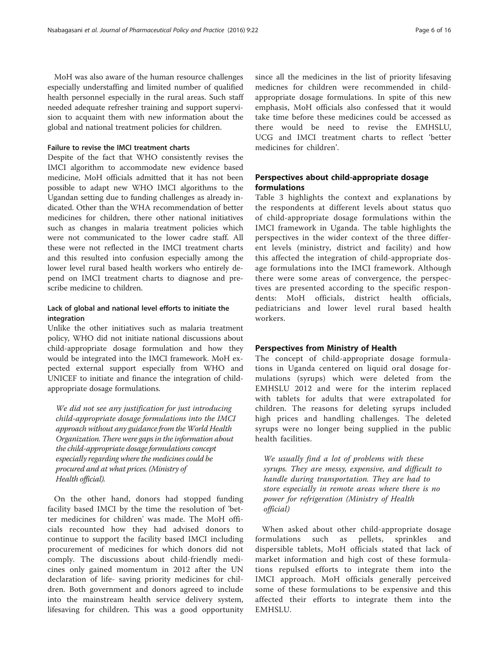MoH was also aware of the human resource challenges especially understaffing and limited number of qualified health personnel especially in the rural areas. Such staff needed adequate refresher training and support supervision to acquaint them with new information about the global and national treatment policies for children.

## Failure to revise the IMCI treatment charts

Despite of the fact that WHO consistently revises the IMCI algorithm to accommodate new evidence based medicine, MoH officials admitted that it has not been possible to adapt new WHO IMCI algorithms to the Ugandan setting due to funding challenges as already indicated. Other than the WHA recommendation of better medicines for children, there other national initiatives such as changes in malaria treatment policies which were not communicated to the lower cadre staff. All these were not reflected in the IMCI treatment charts and this resulted into confusion especially among the lower level rural based health workers who entirely depend on IMCI treatment charts to diagnose and prescribe medicine to children.

# Lack of global and national level efforts to initiate the integration

Unlike the other initiatives such as malaria treatment policy, WHO did not initiate national discussions about child-appropriate dosage formulation and how they would be integrated into the IMCI framework. MoH expected external support especially from WHO and UNICEF to initiate and finance the integration of childappropriate dosage formulations.

We did not see any justification for just introducing child-appropriate dosage formulations into the IMCI approach without any guidance from the World Health Organization. There were gaps in the information about the child-appropriate dosage formulations concept especially regarding where the medicines could be procured and at what prices. (Ministry of Health official).

On the other hand, donors had stopped funding facility based IMCI by the time the resolution of 'better medicines for children' was made. The MoH officials recounted how they had advised donors to continue to support the facility based IMCI including procurement of medicines for which donors did not comply. The discussions about child-friendly medicines only gained momentum in 2012 after the UN declaration of life- saving priority medicines for children. Both government and donors agreed to include into the mainstream health service delivery system, lifesaving for children. This was a good opportunity

since all the medicines in the list of priority lifesaving medicnes for children were recommended in childappropriate dosage formulations. In spite of this new emphasis, MoH officials also confessed that it would take time before these medicines could be accessed as there would be need to revise the EMHSLU, UCG and IMCI treatment charts to reflect 'better medicines for children'.

# Perspectives about child-appropriate dosage formulations

Table [3](#page-6-0) highlights the context and explanations by the respondents at different levels about status quo of child-appropriate dosage formulations within the IMCI framework in Uganda. The table highlights the perspectives in the wider context of the three different levels (ministry, district and facility) and how this affected the integration of child-appropriate dosage formulations into the IMCI framework. Although there were some areas of convergence, the perspectives are presented according to the specific respondents: MoH officials, district health officials, pediatricians and lower level rural based health workers.

# Perspectives from Ministry of Health

The concept of child-appropriate dosage formulations in Uganda centered on liquid oral dosage formulations (syrups) which were deleted from the EMHSLU 2012 and were for the interim replaced with tablets for adults that were extrapolated for children. The reasons for deleting syrups included high prices and handling challenges. The deleted syrups were no longer being supplied in the public health facilities.

We usually find a lot of problems with these syrups. They are messy, expensive, and difficult to handle during transportation. They are had to store especially in remote areas where there is no power for refrigeration (Ministry of Health official)

When asked about other child-appropriate dosage formulations such as pellets, sprinkles and dispersible tablets, MoH officials stated that lack of market information and high cost of these formulations repulsed efforts to integrate them into the IMCI approach. MoH officials generally perceived some of these formulations to be expensive and this affected their efforts to integrate them into the EMHSLU.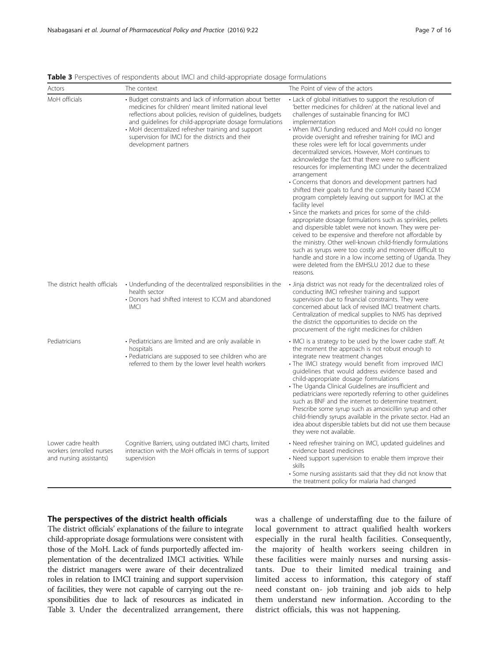| Actors                                                                    | The context                                                                                                                                                                                                                                                                                                                                                                     | The Point of view of the actors                                                                                                                                                                                                                                                                                                                                                                                                                                                                                                                                                                                                                                                                                                                                                                                                                                                                                                                                                                                                                                                                                                                                                                                                             |
|---------------------------------------------------------------------------|---------------------------------------------------------------------------------------------------------------------------------------------------------------------------------------------------------------------------------------------------------------------------------------------------------------------------------------------------------------------------------|---------------------------------------------------------------------------------------------------------------------------------------------------------------------------------------------------------------------------------------------------------------------------------------------------------------------------------------------------------------------------------------------------------------------------------------------------------------------------------------------------------------------------------------------------------------------------------------------------------------------------------------------------------------------------------------------------------------------------------------------------------------------------------------------------------------------------------------------------------------------------------------------------------------------------------------------------------------------------------------------------------------------------------------------------------------------------------------------------------------------------------------------------------------------------------------------------------------------------------------------|
| MoH officials                                                             | • Budget constraints and lack of information about 'better<br>medicines for children' meant limited national level<br>reflections about policies, revision of guidelines, budgets<br>and guidelines for child-appropriate dosage formulations<br>• MoH decentralized refresher training and support<br>supervision for IMCI for the districts and their<br>development partners | • Lack of global initiatives to support the resolution of<br>'better medicines for children' at the national level and<br>challenges of sustainable financing for IMCI<br>implementation<br>• When IMCI funding reduced and MoH could no longer<br>provide oversight and refresher training for IMCI and<br>these roles were left for local governments under<br>decentralized services. However, MoH continues to<br>acknowledge the fact that there were no sufficient<br>resources for implementing IMCI under the decentralized<br>arrangement<br>• Concerns that donors and development partners had<br>shifted their goals to fund the community based ICCM<br>program completely leaving out support for IMCI at the<br>facility level<br>· Since the markets and prices for some of the child-<br>appropriate dosage formulations such as sprinkles, pellets<br>and dispersible tablet were not known. They were per-<br>ceived to be expensive and therefore not affordable by<br>the ministry. Other well-known child-friendly formulations<br>such as syrups were too costly and moreover difficult to<br>handle and store in a low income setting of Uganda. They<br>were deleted from the EMHSLU 2012 due to these<br>reasons. |
| The district health officials                                             | • Underfunding of the decentralized responsibilities in the<br>health sector<br>• Donors had shifted interest to ICCM and abandoned<br><b>IMCI</b>                                                                                                                                                                                                                              | • Jinja district was not ready for the decentralized roles of<br>conducting IMCI refresher training and support<br>supervision due to financial constraints. They were<br>concerned about lack of revised IMCI treatment charts.<br>Centralization of medical supplies to NMS has deprived<br>the district the opportunities to decide on the<br>procurement of the right medicines for children                                                                                                                                                                                                                                                                                                                                                                                                                                                                                                                                                                                                                                                                                                                                                                                                                                            |
| Pediatricians                                                             | • Pediatricians are limited and are only available in<br>hospitals<br>• Pediatricians are supposed to see children who are<br>referred to them by the lower level health workers                                                                                                                                                                                                | • IMCI is a strategy to be used by the lower cadre staff. At<br>the moment the approach is not robust enough to<br>integrate new treatment changes<br>• The IMCI strategy would benefit from improved IMCI<br>quidelines that would address evidence based and<br>child-appropriate dosage formulations<br>• The Uganda Clinical Guidelines are insufficient and<br>pediatricians were reportedly referring to other quidelines<br>such as BNF and the internet to determine treatment.<br>Prescribe some syrup such as amoxicillin syrup and other<br>child-friendly syrups available in the private sector. Had an<br>idea about dispersible tablets but did not use them because<br>they were not available.                                                                                                                                                                                                                                                                                                                                                                                                                                                                                                                             |
| Lower cadre health<br>workers (enrolled nurses<br>and nursing assistants) | Cognitive Barriers, using outdated IMCI charts, limited<br>interaction with the MoH officials in terms of support<br>supervision                                                                                                                                                                                                                                                | • Need refresher training on IMCI, updated guidelines and<br>evidence based medicines<br>• Need support supervision to enable them improve their<br>skills<br>• Some nursing assistants said that they did not know that<br>the treatment policy for malaria had changed                                                                                                                                                                                                                                                                                                                                                                                                                                                                                                                                                                                                                                                                                                                                                                                                                                                                                                                                                                    |

<span id="page-6-0"></span>Table 3 Perspectives of respondents about IMCI and child-appropriate dosage formulations

# The perspectives of the district health officials

The district officials' explanations of the failure to integrate child-appropriate dosage formulations were consistent with those of the MoH. Lack of funds purportedly affected implementation of the decentralized IMCI activities. While the district managers were aware of their decentralized roles in relation to IMCI training and support supervision of facilities, they were not capable of carrying out the responsibilities due to lack of resources as indicated in Table 3. Under the decentralized arrangement, there

was a challenge of understaffing due to the failure of local government to attract qualified health workers especially in the rural health facilities. Consequently, the majority of health workers seeing children in these facilities were mainly nurses and nursing assistants. Due to their limited medical training and limited access to information, this category of staff need constant on- job training and job aids to help them understand new information. According to the district officials, this was not happening.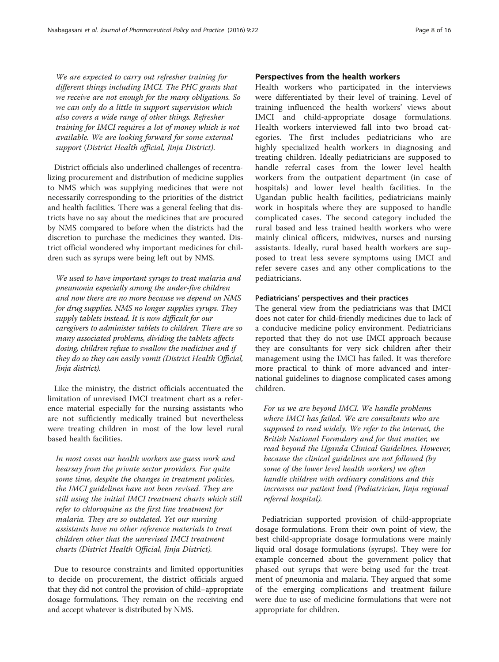We are expected to carry out refresher training for different things including IMCI. The PHC grants that we receive are not enough for the many obligations. So we can only do a little in support supervision which also covers a wide range of other things. Refresher training for IMCI requires a lot of money which is not available. We are looking forward for some external support (District Health official, Jinja District).

District officials also underlined challenges of recentralizing procurement and distribution of medicine supplies to NMS which was supplying medicines that were not necessarily corresponding to the priorities of the district and health facilities. There was a general feeling that districts have no say about the medicines that are procured by NMS compared to before when the districts had the discretion to purchase the medicines they wanted. District official wondered why important medicines for children such as syrups were being left out by NMS.

We used to have important syrups to treat malaria and pneumonia especially among the under-five children and now there are no more because we depend on NMS for drug supplies. NMS no longer supplies syrups. They supply tablets instead. It is now difficult for our caregivers to administer tablets to children. There are so many associated problems, dividing the tablets affects dosing, children refuse to swallow the medicines and if they do so they can easily vomit (District Health Official, Jinja district).

Like the ministry, the district officials accentuated the limitation of unrevised IMCI treatment chart as a reference material especially for the nursing assistants who are not sufficiently medically trained but nevertheless were treating children in most of the low level rural based health facilities.

In most cases our health workers use guess work and hearsay from the private sector providers. For quite some time, despite the changes in treatment policies, the IMCI guidelines have not been revised. They are still using the initial IMCI treatment charts which still refer to chloroquine as the first line treatment for malaria. They are so outdated. Yet our nursing assistants have no other reference materials to treat children other that the unrevised IMCI treatment charts (District Health Official, Jinja District).

Due to resource constraints and limited opportunities to decide on procurement, the district officials argued that they did not control the provision of child–appropriate dosage formulations. They remain on the receiving end and accept whatever is distributed by NMS.

# Perspectives from the health workers

Health workers who participated in the interviews were differentiated by their level of training. Level of training influenced the health workers' views about IMCI and child-appropriate dosage formulations. Health workers interviewed fall into two broad categories. The first includes pediatricians who are highly specialized health workers in diagnosing and treating children. Ideally pediatricians are supposed to handle referral cases from the lower level health workers from the outpatient department (in case of hospitals) and lower level health facilities. In the Ugandan public health facilities, pediatricians mainly work in hospitals where they are supposed to handle complicated cases. The second category included the rural based and less trained health workers who were mainly clinical officers, midwives, nurses and nursing assistants. Ideally, rural based health workers are supposed to treat less severe symptoms using IMCI and refer severe cases and any other complications to the pediatricians.

# Pediatricians' perspectives and their practices

The general view from the pediatricians was that IMCI does not cater for child-friendly medicines due to lack of a conducive medicine policy environment. Pediatricians reported that they do not use IMCI approach because they are consultants for very sick children after their management using the IMCI has failed. It was therefore more practical to think of more advanced and international guidelines to diagnose complicated cases among children.

For us we are beyond IMCI. We handle problems where IMCI has failed. We are consultants who are supposed to read widely. We refer to the internet, the British National Formulary and for that matter, we read beyond the Uganda Clinical Guidelines. However, because the clinical guidelines are not followed (by some of the lower level health workers) we often handle children with ordinary conditions and this increases our patient load (Pediatrician, Jinja regional referral hospital).

Pediatrician supported provision of child-appropriate dosage formulations. From their own point of view, the best child-appropriate dosage formulations were mainly liquid oral dosage formulations (syrups). They were for example concerned about the government policy that phased out syrups that were being used for the treatment of pneumonia and malaria. They argued that some of the emerging complications and treatment failure were due to use of medicine formulations that were not appropriate for children.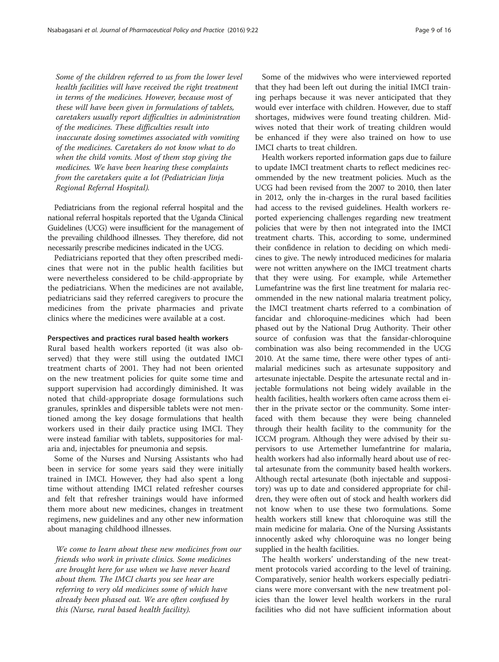Some of the children referred to us from the lower level health facilities will have received the right treatment in terms of the medicines. However, because most of these will have been given in formulations of tablets, caretakers usually report difficulties in administration of the medicines. These difficulties result into inaccurate dosing sometimes associated with vomiting of the medicines. Caretakers do not know what to do when the child vomits. Most of them stop giving the medicines. We have been hearing these complaints from the caretakers quite a lot (Pediatrician Jinja Regional Referral Hospital).

Pediatricians from the regional referral hospital and the national referral hospitals reported that the Uganda Clinical Guidelines (UCG) were insufficient for the management of the prevailing childhood illnesses. They therefore, did not necessarily prescribe medicines indicated in the UCG.

Pediatricians reported that they often prescribed medicines that were not in the public health facilities but were nevertheless considered to be child-appropriate by the pediatricians. When the medicines are not available, pediatricians said they referred caregivers to procure the medicines from the private pharmacies and private clinics where the medicines were available at a cost.

# Perspectives and practices rural based health workers

Rural based health workers reported (it was also observed) that they were still using the outdated IMCI treatment charts of 2001. They had not been oriented on the new treatment policies for quite some time and support supervision had accordingly diminished. It was noted that child-appropriate dosage formulations such granules, sprinkles and dispersible tablets were not mentioned among the key dosage formulations that health workers used in their daily practice using IMCI. They were instead familiar with tablets, suppositories for malaria and, injectables for pneumonia and sepsis.

Some of the Nurses and Nursing Assistants who had been in service for some years said they were initially trained in IMCI. However, they had also spent a long time without attending IMCI related refresher courses and felt that refresher trainings would have informed them more about new medicines, changes in treatment regimens, new guidelines and any other new information about managing childhood illnesses.

We come to learn about these new medicines from our friends who work in private clinics. Some medicines are brought here for use when we have never heard about them. The IMCI charts you see hear are referring to very old medicines some of which have already been phased out. We are often confused by this (Nurse, rural based health facility).

Some of the midwives who were interviewed reported that they had been left out during the initial IMCI training perhaps because it was never anticipated that they would ever interface with children. However, due to staff shortages, midwives were found treating children. Midwives noted that their work of treating children would be enhanced if they were also trained on how to use IMCI charts to treat children.

Health workers reported information gaps due to failure to update IMCI treatment charts to reflect medicines recommended by the new treatment policies. Much as the UCG had been revised from the 2007 to 2010, then later in 2012, only the in-charges in the rural based facilities had access to the revised guidelines. Health workers reported experiencing challenges regarding new treatment policies that were by then not integrated into the IMCI treatment charts. This, according to some, undermined their confidence in relation to deciding on which medicines to give. The newly introduced medicines for malaria were not written anywhere on the IMCI treatment charts that they were using. For example, while Artemether Lumefantrine was the first line treatment for malaria recommended in the new national malaria treatment policy, the IMCI treatment charts referred to a combination of fancidar and chloroquine-medicines which had been phased out by the National Drug Authority. Their other source of confusion was that the fansidar-chloroquine combination was also being recommended in the UCG 2010. At the same time, there were other types of antimalarial medicines such as artesunate suppository and artesunate injectable. Despite the artesunate rectal and injectable formulations not being widely available in the health facilities, health workers often came across them either in the private sector or the community. Some interfaced with them because they were being channeled through their health facility to the community for the ICCM program. Although they were advised by their supervisors to use Artemether lumefantrine for malaria, health workers had also informally heard about use of rectal artesunate from the community based health workers. Although rectal artesunate (both injectable and suppository) was up to date and considered appropriate for children, they were often out of stock and health workers did not know when to use these two formulations. Some health workers still knew that chloroquine was still the main medicine for malaria. One of the Nursing Assistants innocently asked why chloroquine was no longer being supplied in the health facilities.

The health workers' understanding of the new treatment protocols varied according to the level of training. Comparatively, senior health workers especially pediatricians were more conversant with the new treatment policies than the lower level health workers in the rural facilities who did not have sufficient information about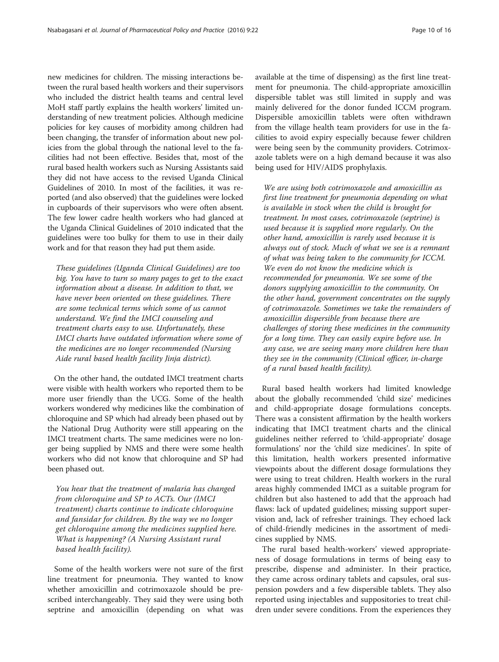new medicines for children. The missing interactions between the rural based health workers and their supervisors who included the district health teams and central level MoH staff partly explains the health workers' limited understanding of new treatment policies. Although medicine policies for key causes of morbidity among children had been changing, the transfer of information about new policies from the global through the national level to the facilities had not been effective. Besides that, most of the rural based health workers such as Nursing Assistants said they did not have access to the revised Uganda Clinical Guidelines of 2010. In most of the facilities, it was reported (and also observed) that the guidelines were locked in cupboards of their supervisors who were often absent. The few lower cadre health workers who had glanced at the Uganda Clinical Guidelines of 2010 indicated that the guidelines were too bulky for them to use in their daily work and for that reason they had put them aside.

These guidelines (Uganda Clinical Guidelines) are too big. You have to turn so many pages to get to the exact information about a disease. In addition to that, we have never been oriented on these guidelines. There are some technical terms which some of us cannot understand. We find the IMCI counseling and treatment charts easy to use. Unfortunately, these IMCI charts have outdated information where some of the medicines are no longer recommended (Nursing Aide rural based health facility Jinja district).

On the other hand, the outdated IMCI treatment charts were visible with health workers who reported them to be more user friendly than the UCG. Some of the health workers wondered why medicines like the combination of chloroquine and SP which had already been phased out by the National Drug Authority were still appearing on the IMCI treatment charts. The same medicines were no longer being supplied by NMS and there were some health workers who did not know that chloroquine and SP had been phased out.

You hear that the treatment of malaria has changed from chloroquine and SP to ACTs. Our (IMCI treatment) charts continue to indicate chloroquine and fansidar for children. By the way we no longer get chloroquine among the medicines supplied here. What is happening? (A Nursing Assistant rural based health facility).

Some of the health workers were not sure of the first line treatment for pneumonia. They wanted to know whether amoxicillin and cotrimoxazole should be prescribed interchangeably. They said they were using both septrine and amoxicillin (depending on what was available at the time of dispensing) as the first line treatment for pneumonia. The child-appropriate amoxicillin dispersible tablet was still limited in supply and was mainly delivered for the donor funded ICCM program. Dispersible amoxicillin tablets were often withdrawn from the village health team providers for use in the facilities to avoid expiry especially because fewer children were being seen by the community providers. Cotrimoxazole tablets were on a high demand because it was also being used for HIV/AIDS prophylaxis.

We are using both cotrimoxazole and amoxicillin as first line treatment for pneumonia depending on what is available in stock when the child is brought for treatment. In most cases, cotrimoxazole (septrine) is used because it is supplied more regularly. On the other hand, amoxicillin is rarely used because it is always out of stock. Much of what we see is a remnant of what was being taken to the community for ICCM. We even do not know the medicine which is recommended for pneumonia. We see some of the donors supplying amoxicillin to the community. On the other hand, government concentrates on the supply of cotrimoxazole. Sometimes we take the remainders of amoxicillin dispersible from because there are challenges of storing these medicines in the community for a long time. They can easily expire before use. In any case, we are seeing many more children here than they see in the community (Clinical officer, in-charge of a rural based health facility).

Rural based health workers had limited knowledge about the globally recommended 'child size' medicines and child-appropriate dosage formulations concepts. There was a consistent affirmation by the health workers indicating that IMCI treatment charts and the clinical guidelines neither referred to 'child-appropriate' dosage formulations' nor the 'child size medicines'. In spite of this limitation, health workers presented informative viewpoints about the different dosage formulations they were using to treat children. Health workers in the rural areas highly commended IMCI as a suitable program for children but also hastened to add that the approach had flaws: lack of updated guidelines; missing support supervision and, lack of refresher trainings. They echoed lack of child-friendly medicines in the assortment of medicines supplied by NMS.

The rural based health-workers' viewed appropriateness of dosage formulations in terms of being easy to prescribe, dispense and administer. In their practice, they came across ordinary tablets and capsules, oral suspension powders and a few dispersible tablets. They also reported using injectables and suppositories to treat children under severe conditions. From the experiences they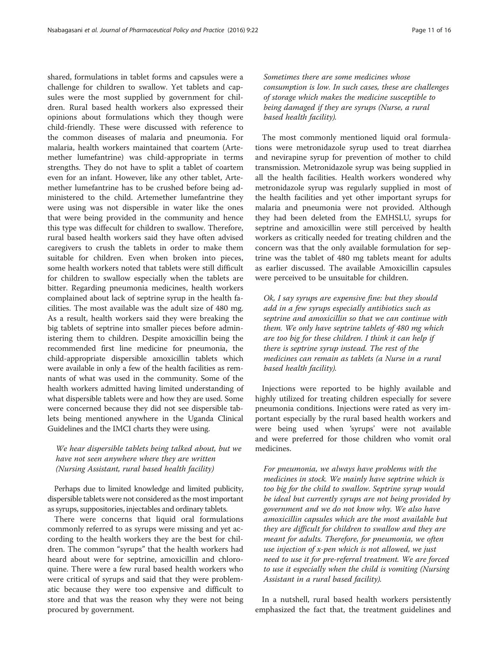shared, formulations in tablet forms and capsules were a challenge for children to swallow. Yet tablets and capsules were the most supplied by government for children. Rural based health workers also expressed their opinions about formulations which they though were child-friendly. These were discussed with reference to the common diseases of malaria and pneumonia. For malaria, health workers maintained that coartem (Artemether lumefantrine) was child-appropriate in terms strengths. They do not have to split a tablet of coartem even for an infant. However, like any other tablet, Artemether lumefantrine has to be crushed before being administered to the child. Artemether lumefantrine they were using was not dispersible in water like the ones that were being provided in the community and hence this type was diffecult for children to swallow. Therefore, rural based health workers said they have often advised caregivers to crush the tablets in order to make them suitable for children. Even when broken into pieces, some health workers noted that tablets were still difficult for children to swallow especially when the tablets are bitter. Regarding pneumonia medicines, health workers complained about lack of septrine syrup in the health facilities. The most available was the adult size of 480 mg. As a result, health workers said they were breaking the big tablets of septrine into smaller pieces before administering them to children. Despite amoxicillin being the recommended first line medicine for pneumonia, the child-appropriate dispersible amoxicillin tablets which were available in only a few of the health facilities as remnants of what was used in the community. Some of the health workers admitted having limited understanding of what dispersible tablets were and how they are used. Some were concerned because they did not see dispersible tablets being mentioned anywhere in the Uganda Clinical Guidelines and the IMCI charts they were using.

# We hear dispersible tablets being talked about, but we have not seen anywhere where they are written (Nursing Assistant, rural based health facility)

Perhaps due to limited knowledge and limited publicity, dispersible tablets were not considered as the most important as syrups, suppositories, injectables and ordinary tablets.

There were concerns that liquid oral formulations commonly referred to as syrups were missing and yet according to the health workers they are the best for children. The common "syrups" that the health workers had heard about were for septrine, amoxicillin and chloroquine. There were a few rural based health workers who were critical of syrups and said that they were problematic because they were too expensive and difficult to store and that was the reason why they were not being procured by government.

Sometimes there are some medicines whose consumption is low. In such cases, these are challenges of storage which makes the medicine susceptible to being damaged if they are syrups (Nurse, a rural based health facility).

The most commonly mentioned liquid oral formulations were metronidazole syrup used to treat diarrhea and nevirapine syrup for prevention of mother to child transmission. Metronidazole syrup was being supplied in all the health facilities. Health workers wondered why metronidazole syrup was regularly supplied in most of the health facilities and yet other important syrups for malaria and pneumonia were not provided. Although they had been deleted from the EMHSLU, syrups for septrine and amoxicillin were still perceived by health workers as critically needed for treating children and the concern was that the only available formulation for septrine was the tablet of 480 mg tablets meant for adults as earlier discussed. The available Amoxicillin capsules were perceived to be unsuitable for children.

Ok, I say syrups are expensive fine: but they should add in a few syrups especially antibiotics such as septrine and amoxicillin so that we can continue with them. We only have septrine tablets of 480 mg which are too big for these children. I think it can help if there is septrine syrup instead. The rest of the medicines can remain as tablets (a Nurse in a rural based health facility).

Injections were reported to be highly available and highly utilized for treating children especially for severe pneumonia conditions. Injections were rated as very important especially by the rural based health workers and were being used when 'syrups' were not available and were preferred for those children who vomit oral medicines.

For pneumonia, we always have problems with the medicines in stock. We mainly have septrine which is too big for the child to swallow. Septrine syrup would be ideal but currently syrups are not being provided by government and we do not know why. We also have amoxicillin capsules which are the most available but they are difficult for children to swallow and they are meant for adults. Therefore, for pneumonia, we often use injection of x-pen which is not allowed, we just need to use it for pre-referral treatment. We are forced to use it especially when the child is vomiting (Nursing Assistant in a rural based facility).

In a nutshell, rural based health workers persistently emphasized the fact that, the treatment guidelines and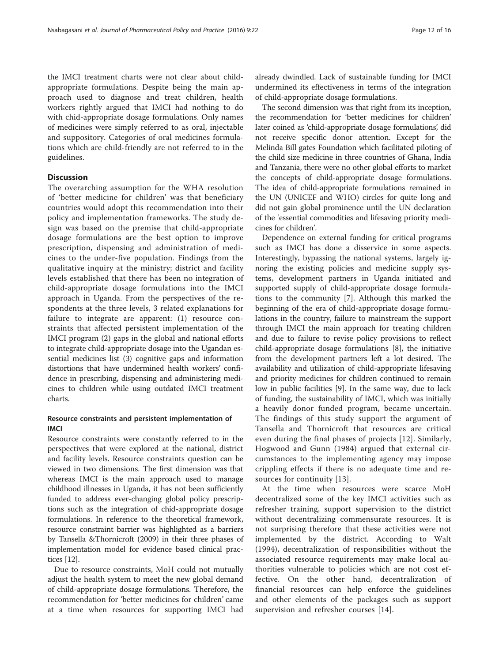the IMCI treatment charts were not clear about childappropriate formulations. Despite being the main approach used to diagnose and treat children, health workers rightly argued that IMCI had nothing to do with chid-appropriate dosage formulations. Only names of medicines were simply referred to as oral, injectable and suppository. Categories of oral medicines formulations which are child-friendly are not referred to in the guidelines.

# **Discussion**

The overarching assumption for the WHA resolution of 'better medicine for children' was that beneficiary countries would adopt this recommendation into their policy and implementation frameworks. The study design was based on the premise that child-appropriate dosage formulations are the best option to improve prescription, dispensing and administration of medicines to the under-five population. Findings from the qualitative inquiry at the ministry; district and facility levels established that there has been no integration of child-appropriate dosage formulations into the IMCI approach in Uganda. From the perspectives of the respondents at the three levels, 3 related explanations for failure to integrate are apparent: (1) resource constraints that affected persistent implementation of the IMCI program (2) gaps in the global and national efforts to integrate child-appropriate dosage into the Ugandan essential medicines list (3) cognitive gaps and information distortions that have undermined health workers' confidence in prescribing, dispensing and administering medicines to children while using outdated IMCI treatment charts.

# Resource constraints and persistent implementation of IMCI

Resource constraints were constantly referred to in the perspectives that were explored at the national, district and facility levels. Resource constraints question can be viewed in two dimensions. The first dimension was that whereas IMCI is the main approach used to manage childhood illnesses in Uganda, it has not been sufficiently funded to address ever-changing global policy prescriptions such as the integration of chid-appropriate dosage formulations. In reference to the theoretical framework, resource constraint barrier was highlighted as a barriers by Tansella &Thornicroft (2009) in their three phases of implementation model for evidence based clinical practices [\[12\]](#page-14-0).

Due to resource constraints, MoH could not mutually adjust the health system to meet the new global demand of child-appropriate dosage formulations. Therefore, the recommendation for 'better medicines for children' came at a time when resources for supporting IMCI had already dwindled. Lack of sustainable funding for IMCI undermined its effectiveness in terms of the integration of child-appropriate dosage formulations.

The second dimension was that right from its inception, the recommendation for 'better medicines for children' later coined as 'child-appropriate dosage formulations', did not receive specific donor attention. Except for the Melinda Bill gates Foundation which facilitated piloting of the child size medicine in three countries of Ghana, India and Tanzania, there were no other global efforts to market the concepts of child-appropriate dosage formulations. The idea of child-appropriate formulations remained in the UN (UNICEF and WHO) circles for quite long and did not gain global prominence until the UN declaration of the 'essential commodities and lifesaving priority medicines for children'.

Dependence on external funding for critical programs such as IMCI has done a disservice in some aspects. Interestingly, bypassing the national systems, largely ignoring the existing policies and medicine supply systems, development partners in Uganda initiated and supported supply of child-appropriate dosage formulations to the community [[7\]](#page-14-0). Although this marked the beginning of the era of child-appropriate dosage formulations in the country, failure to mainstream the support through IMCI the main approach for treating children and due to failure to revise policy provisions to reflect child-appropriate dosage formulations [\[8](#page-14-0)], the initiative from the development partners left a lot desired. The availability and utilization of child-appropriate lifesaving and priority medicines for children continued to remain low in public facilities [\[9](#page-14-0)]. In the same way, due to lack of funding, the sustainability of IMCI, which was initially a heavily donor funded program, became uncertain. The findings of this study support the argument of Tansella and Thornicroft that resources are critical even during the final phases of projects [[12](#page-14-0)]. Similarly, Hogwood and Gunn (1984) argued that external circumstances to the implementing agency may impose crippling effects if there is no adequate time and re-sources for continuity [\[13\]](#page-14-0).

At the time when resources were scarce MoH decentralized some of the key IMCI activities such as refresher training, support supervision to the district without decentralizing commensurate resources. It is not surprising therefore that these activities were not implemented by the district. According to Walt (1994), decentralization of responsibilities without the associated resource requirements may make local authorities vulnerable to policies which are not cost effective. On the other hand, decentralization of financial resources can help enforce the guidelines and other elements of the packages such as support supervision and refresher courses [[14\]](#page-14-0).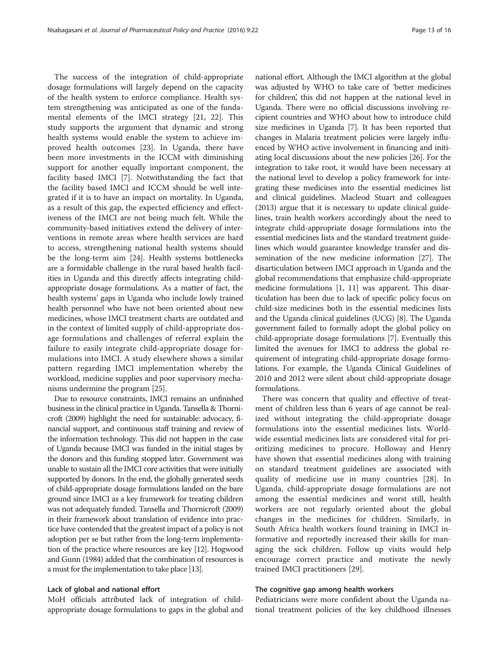The success of the integration of child-appropriate dosage formulations will largely depend on the capacity of the health system to enforce compliance. Health system strengthening was anticipated as one of the fundamental elements of the IMCI strategy [[21, 22](#page-14-0)]. This study supports the argument that dynamic and strong health systems would enable the system to achieve improved health outcomes [\[23](#page-15-0)]. In Uganda, there have been more investments in the ICCM with diminishing support for another equally important component, the facility based IMCI [[7\]](#page-14-0). Notwithstanding the fact that the facility based IMCI and ICCM should be well integrated if it is to have an impact on mortality. In Uganda, as a result of this gap, the expected efficiency and effectiveness of the IMCI are not being much felt. While the community-based initiatives extend the delivery of interventions in remote areas where health services are hard to access, strengthening national health systems should be the long-term aim [\[24\]](#page-15-0). Health systems bottlenecks are a formidable challenge in the rural based health facilities in Uganda and this directly affects integrating childappropriate dosage formulations. As a matter of fact, the health systems' gaps in Uganda who include lowly trained health personnel who have not been oriented about new medicines, whose IMCI treatment charts are outdated and in the context of limited supply of child-appropriate dosage formulations and challenges of referral explain the failure to easily integrate child-appropriate dosage formulations into IMCI. A study elsewhere shows a similar pattern regarding IMCI implementation whereby the workload, medicine supplies and poor supervisory mechanisms undermine the program [\[25](#page-15-0)].

Due to resource constraints, IMCI remains an unfinished business in the clinical practice in Uganda. Tansella & Thornicroft (2009) highlight the need for sustainable: advocacy, financial support, and continuous staff training and review of the information technology. This did not happen in the case of Uganda because IMCI was funded in the initial stages by the donors and this funding stopped later. Government was unable to sustain all the IMCI core activities that were initially supported by donors. In the end, the globally generated seeds of child-appropriate dosage formulations landed on the bare ground since IMCI as a key framework for treating children was not adequately funded. Tansella and Thornicroft (2009) in their framework about translation of evidence into practice have contended that the greatest impact of a policy is not adoption per se but rather from the long-term implementation of the practice where resources are key [[12](#page-14-0)]. Hogwood and Gunn (1984) added that the combination of resources is a must for the implementation to take place [\[13\]](#page-14-0).

## Lack of global and national effort

MoH officials attributed lack of integration of childappropriate dosage formulations to gaps in the global and

national effort. Although the IMCI algorithm at the global was adjusted by WHO to take care of 'better medicines for children', this did not happen at the national level in Uganda. There were no official discussions involving recipient countries and WHO about how to introduce child size medicines in Uganda [\[7](#page-14-0)]. It has been reported that changes in Malaria treatment policies were largely influenced by WHO active involvement in financing and initiating local discussions about the new policies [[26\]](#page-15-0). For the integration to take root, it would have been necessary at the national level to develop a policy framework for integrating these medicines into the essential medicines list and clinical guidelines. Macleod Stuart and colleagues (2013) argue that it is necessary to update clinical guidelines, train health workers accordingly about the need to integrate child-appropriate dosage formulations into the essential medicines lists and the standard treatment guidelines which would guarantee knowledge transfer and dissemination of the new medicine information [[27](#page-15-0)]. The disarticulation between IMCI approach in Uganda and the global recommendations that emphasize child-appropriate medicine formulations [\[1](#page-14-0), [11](#page-14-0)] was apparent. This disarticulation has been due to lack of specific policy focus on child-size medicines both in the essential medicines lists and the Uganda clinical guidelines (UCG) [[8\]](#page-14-0). The Uganda government failed to formally adopt the global policy on child-appropriate dosage formulations [[7\]](#page-14-0). Eventually this limited the avenues for IMCI to address the global requirement of integrating child-appropriate dosage formulations. For example, the Uganda Clinical Guidelines of 2010 and 2012 were silent about child-appropriate dosage formulations.

There was concern that quality and effective of treatment of children less than 6 years of age cannot be realized without integrating the child-appropriate dosage formulations into the essential medicines lists. Worldwide essential medicines lists are considered vital for prioritizing medicines to procure. Holloway and Henry have shown that essential medicines along with training on standard treatment guidelines are associated with quality of medicine use in many countries [\[28\]](#page-15-0). In Uganda, child-appropriate dosage formulations are not among the essential medicines and worst still, health workers are not regularly oriented about the global changes in the medicines for children. Similarly, in South Africa health workers found training in IMCI informative and reportedly increased their skills for managing the sick children. Follow up visits would help encourage correct practice and motivate the newly trained IMCI practitioners [\[29](#page-15-0)].

# The cognitive gap among health workers

Pediatricians were more confident about the Uganda national treatment policies of the key childhood illnesses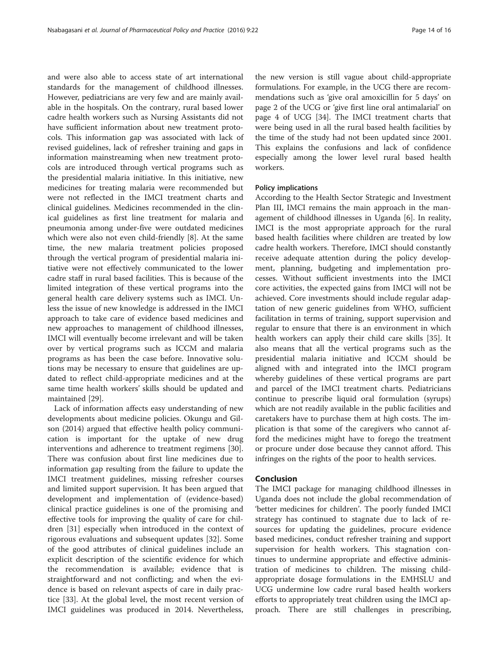and were also able to access state of art international standards for the management of childhood illnesses. However, pediatricians are very few and are mainly available in the hospitals. On the contrary, rural based lower cadre health workers such as Nursing Assistants did not have sufficient information about new treatment protocols. This information gap was associated with lack of revised guidelines, lack of refresher training and gaps in information mainstreaming when new treatment protocols are introduced through vertical programs such as the presidential malaria initiative. In this initiative, new medicines for treating malaria were recommended but were not reflected in the IMCI treatment charts and clinical guidelines. Medicines recommended in the clinical guidelines as first line treatment for malaria and pneumonia among under-five were outdated medicines which were also not even child-friendly [[8\]](#page-14-0). At the same time, the new malaria treatment policies proposed through the vertical program of presidential malaria initiative were not effectively communicated to the lower cadre staff in rural based facilities. This is because of the limited integration of these vertical programs into the general health care delivery systems such as IMCI. Unless the issue of new knowledge is addressed in the IMCI approach to take care of evidence based medicines and new approaches to management of childhood illnesses, IMCI will eventually become irrelevant and will be taken over by vertical programs such as ICCM and malaria programs as has been the case before. Innovative solutions may be necessary to ensure that guidelines are updated to reflect child-appropriate medicines and at the same time health workers' skills should be updated and maintained [[29](#page-15-0)].

Lack of information affects easy understanding of new developments about medicine policies. Okungu and Gilson (2014) argued that effective health policy communication is important for the uptake of new drug interventions and adherence to treatment regimens [\[30](#page-15-0)]. There was confusion about first line medicines due to information gap resulting from the failure to update the IMCI treatment guidelines, missing refresher courses and limited support supervision. It has been argued that development and implementation of (evidence-based) clinical practice guidelines is one of the promising and effective tools for improving the quality of care for children [[31\]](#page-15-0) especially when introduced in the context of rigorous evaluations and subsequent updates [\[32](#page-15-0)]. Some of the good attributes of clinical guidelines include an explicit description of the scientific evidence for which the recommendation is available; evidence that is straightforward and not conflicting; and when the evidence is based on relevant aspects of care in daily practice [\[33\]](#page-15-0). At the global level, the most recent version of IMCI guidelines was produced in 2014. Nevertheless,

the new version is still vague about child-appropriate formulations. For example, in the UCG there are recommendations such as 'give oral amoxicillin for 5 days' on page 2 of the UCG or 'give first line oral antimalarial' on page 4 of UCG [[34\]](#page-15-0). The IMCI treatment charts that were being used in all the rural based health facilities by the time of the study had not been updated since 2001. This explains the confusions and lack of confidence especially among the lower level rural based health workers.

## Policy implications

According to the Health Sector Strategic and Investment Plan III, IMCI remains the main approach in the management of childhood illnesses in Uganda [\[6](#page-14-0)]. In reality, IMCI is the most appropriate approach for the rural based health facilities where children are treated by low cadre health workers. Therefore, IMCI should constantly receive adequate attention during the policy development, planning, budgeting and implementation processes. Without sufficient investments into the IMCI core activities, the expected gains from IMCI will not be achieved. Core investments should include regular adaptation of new generic guidelines from WHO, sufficient facilitation in terms of training, support supervision and regular to ensure that there is an environment in which health workers can apply their child care skills [[35](#page-15-0)]. It also means that all the vertical programs such as the presidential malaria initiative and ICCM should be aligned with and integrated into the IMCI program whereby guidelines of these vertical programs are part and parcel of the IMCI treatment charts. Pediatricians continue to prescribe liquid oral formulation (syrups) which are not readily available in the public facilities and caretakers have to purchase them at high costs. The implication is that some of the caregivers who cannot afford the medicines might have to forego the treatment or procure under dose because they cannot afford. This infringes on the rights of the poor to health services.

#### Conclusion

The IMCI package for managing childhood illnesses in Uganda does not include the global recommendation of 'better medicines for children'. The poorly funded IMCI strategy has continued to stagnate due to lack of resources for updating the guidelines, procure evidence based medicines, conduct refresher training and support supervision for health workers. This stagnation continues to undermine appropriate and effective administration of medicines to children. The missing childappropriate dosage formulations in the EMHSLU and UCG undermine low cadre rural based health workers efforts to appropriately treat children using the IMCI approach. There are still challenges in prescribing,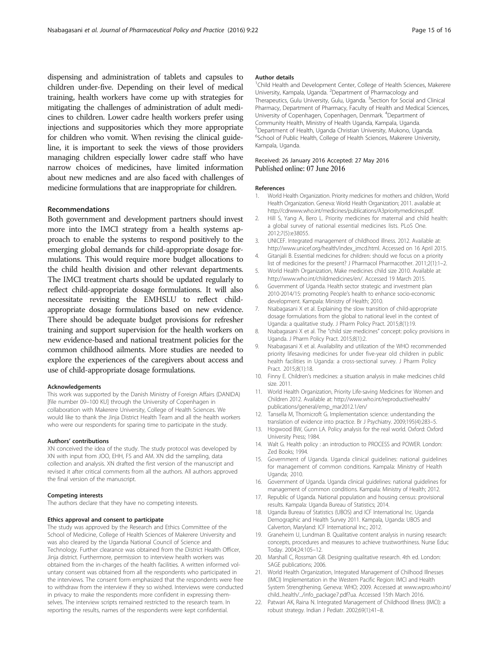<span id="page-14-0"></span>dispensing and administration of tablets and capsules to children under-five. Depending on their level of medical training, health workers have come up with strategies for mitigating the challenges of administration of adult medicines to children. Lower cadre health workers prefer using injections and suppositories which they more appropriate for children who vomit. When revising the clinical guideline, it is important to seek the views of those providers managing children especially lower cadre staff who have narrow choices of medicines, have limited information about new medicnes and are also faced with challenges of medicine formulations that are inappropriate for children.

#### Recommendations

Both government and development partners should invest more into the IMCI strategy from a health systems approach to enable the systems to respond positively to the emerging global demands for child-appropriate dosage formulations. This would require more budget allocations to the child health division and other relevant departments. The IMCI treatment charts should be updated regularly to reflect child-appropriate dosage formulations. It will also necessitate revisiting the EMHSLU to reflect childappropriate dosage formulations based on new evidence. There should be adequate budget provisions for refresher training and support supervision for the health workers on new evidence-based and national treatment policies for the common childhood ailments. More studies are needed to explore the experiences of the caregivers about access and use of child-appropriate dosage formulations.

#### Acknowledgements

This work was supported by the Danish Ministry of Foreign Affairs (DANIDA) [file number 09-100 KU] through the University of Copenhagen in collaboration with Makerere University, College of Health Sciences. We would like to thank the Jinja District Health Team and all the health workers who were our respondents for sparing time to participate in the study.

#### Authors' contributions

XN conceived the idea of the study. The study protocol was developed by XN with input from JOO, EHH, FS and AM. XN did the sampling, data collection and analysis. XN drafted the first version of the manuscript and revised it after critical comments from all the authors. All authors approved the final version of the manuscript.

#### Competing interests

The authors declare that they have no competing interests.

#### Ethics approval and consent to participate

The study was approved by the Research and Ethics Committee of the School of Medicine, College of Health Sciences of Makerere University and was also cleared by the Uganda National Council of Science and Technology. Further clearance was obtained from the District Health Officer, Jinja district. Furthermore, permission to interview health workers was obtained from the in-charges of the health facilities. A written informed voluntary consent was obtained from all the respondents who participated in the interviews. The consent form emphasized that the respondents were free to withdraw from the interview if they so wished. Interviews were conducted in privacy to make the respondents more confident in expressing themselves. The interview scripts remained restricted to the research team. In reporting the results, names of the respondents were kept confidential.

#### Author details

<sup>1</sup>Child Health and Development Center, College of Health Sciences, Makerere University, Kampala, Uganda. <sup>2</sup>Department of Pharmacology and Therapeutics, Gulu University, Gulu, Uganda. <sup>3</sup>Section for Social and Clinical Pharmacy, Department of Pharmacy, Faculty of Health and Medical Sciences, University of Copenhagen, Copenhagen, Denmark. <sup>4</sup> Department of Community Health, Ministry of Health Uganda, Kampala, Uganda. 5 Department of Health, Uganda Christian University, Mukono, Uganda. <sup>6</sup>School of Public Health, College of Health Sciences, Makerere University Kampala, Uganda.

# Received: 26 January 2016 Accepted: 27 May 2016<br>Published online: 07 June 2016

#### References

- 1. World Health Organization. Priority medicines for mothers and children, World Health Organization. Geneva: World Health Organization; 2011. available at: http://cdrwww.who.int/medicines/publications/A3prioritymedicines.pdf.
- 2. Hill S, Yang A, Bero L. Priority medicines for maternal and child health: a global survey of national essential medicines lists. PLoS One. 2012;7(5):e38055.
- 3. UNICEF. Integrated management of childhood illness. 2012. Available at: [http://www.unicef.org/health/index\\_imcd.html.](http://www.unicef.org/health/index_imcd.html) Accessed on 16 April 2015.
- 4. Gitanjali B. Essential medicines for children: should we focus on a priority list of medicines for the present? J Pharmacol Pharmacother. 2011;2(1):1–2.
- 5. World Health Organization, Make medicines child size 2010. Available at: [http://www.who.int/childmedicines/en/.](http://www.who.int/childmedicines/en/) Accessed 19 March 2015.
- 6. Government of Uganda. Health sector strategic and investment plan 2010-2014/15: promoting People's health to enhance socio-economic development. Kampala: Ministry of Health; 2010.
- 7. Nsabagasani X et al. Explaining the slow transition of child-appropriate dosage formulations from the global to national level in the context of Uganda: a qualitative study. J Pharm Policy Pract. 2015;8(1):19.
- 8. Nsabagasani X et al. The "child size medicines" concept: policy provisions in Uganda. J Pharm Policy Pract. 2015;8(1):2.
- 9. Nsabagasani X et al. Availability and utilization of the WHO recommended priority lifesaving medicines for under five-year old children in public health facilities in Uganda: a cross-sectional survey. J Pharm Policy Pract. 2015;8(1):18.
- 10. Finny E. Children's medicines: a situation analysis in make medicines child size. 2011.
- 11. World Health Organization, Priority Life-saving Medicines for Women and Children 2012. Available at: [http://www.who.int/reproductivehealth/](http://www.who.int/reproductivehealth/publications/general/emp_mar2012.1/en/) [publications/general/emp\\_mar2012.1/en/](http://www.who.int/reproductivehealth/publications/general/emp_mar2012.1/en/)
- 12. Tansella M, Thornicroft G. Implementation science: understanding the translation of evidence into practice. Br J Psychiatry. 2009;195(4):283–5.
- 13. Hogwood BW, Gunn LA. Policy analysis for the real world. Oxford: Oxford University Press; 1984.
- 14. Walt G. Health policy : an introduction to PROCESS and POWER. London: Zed Books; 1994.
- 15. Government of Uganda. Uganda clinical guidelines: national guidelines for management of common conditions. Kampala: Ministry of Health Uganda; 2010.
- 16. Government of Uganda. Uganda clinical guidelines: national guidelines for management of common conditions. Kampala: Ministry of Health; 2012.
- 17. Republic of Uganda. National population and housing census: provisional results. Kampala: Uganda Bureau of Statistics; 2014.
- 18. Uganda Bureau of Statistics (UBOS) and ICF International Inc. Uganda Demographic and Health Survey 2011. Kampala, Uganda: UBOS and Calverton, Maryland: ICF International Inc.; 2012.
- 19. Graneheim U, Lundman B. Qualitative content analysis in nursing research: concepts, procedures and measures to achieve trustworthiness. Nurse Educ Today. 2004;24:105–12.
- 20. Marshall C, Rossman GB. Designing qualitative research. 4th ed. London: SAGE publications; 2006.
- 21. World Health Organization, Integrated Management of Chilhood Illnesses (IMCI) Implementation in the Western Pacific Region: IMCI and Health System Strengthening. Geneva: WHO; 2009. Accessed at [www.wpro.who.int/](http://www.wpro.who.int/child...health/.../info_package7.pdf?ua) [child...health/.../info\\_package7.pdf?ua.](http://www.wpro.who.int/child...health/.../info_package7.pdf?ua) Accessed 15th March 2016.
- 22. Patwari AK, Raina N. Integrated Management of Childhood Illness (IMCI): a robust strategy. Indian J Pediatr. 2002;69(1):41–8.